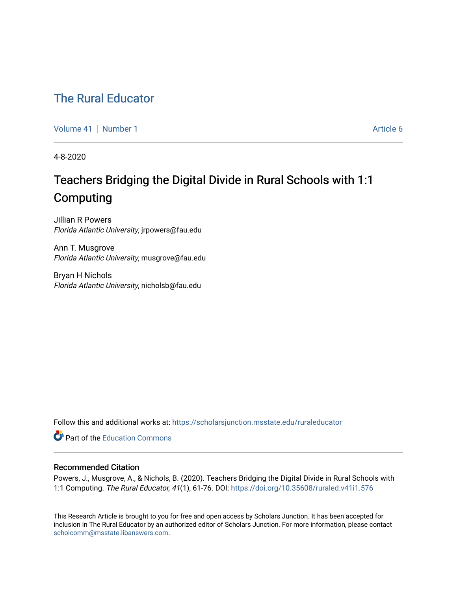## [The Rural Educator](https://scholarsjunction.msstate.edu/ruraleducator)

[Volume 41](https://scholarsjunction.msstate.edu/ruraleducator/vol41) [Number 1](https://scholarsjunction.msstate.edu/ruraleducator/vol41/iss1) Article 6

4-8-2020

# Teachers Bridging the Digital Divide in Rural Schools with 1:1 Computing

Jillian R Powers Florida Atlantic University, jrpowers@fau.edu

Ann T. Musgrove Florida Atlantic University, musgrove@fau.edu

Bryan H Nichols Florida Atlantic University, nicholsb@fau.edu

Follow this and additional works at: [https://scholarsjunction.msstate.edu/ruraleducator](https://scholarsjunction.msstate.edu/ruraleducator?utm_source=scholarsjunction.msstate.edu%2Fruraleducator%2Fvol41%2Fiss1%2F6&utm_medium=PDF&utm_campaign=PDFCoverPages)

**C** Part of the [Education Commons](http://network.bepress.com/hgg/discipline/784?utm_source=scholarsjunction.msstate.edu%2Fruraleducator%2Fvol41%2Fiss1%2F6&utm_medium=PDF&utm_campaign=PDFCoverPages)

## Recommended Citation

Powers, J., Musgrove, A., & Nichols, B. (2020). Teachers Bridging the Digital Divide in Rural Schools with 1:1 Computing. The Rural Educator, 41(1), 61-76. DOI: <https://doi.org/10.35608/ruraled.v41i1.576>

This Research Article is brought to you for free and open access by Scholars Junction. It has been accepted for inclusion in The Rural Educator by an authorized editor of Scholars Junction. For more information, please contact [scholcomm@msstate.libanswers.com.](mailto:scholcomm@msstate.libanswers.com)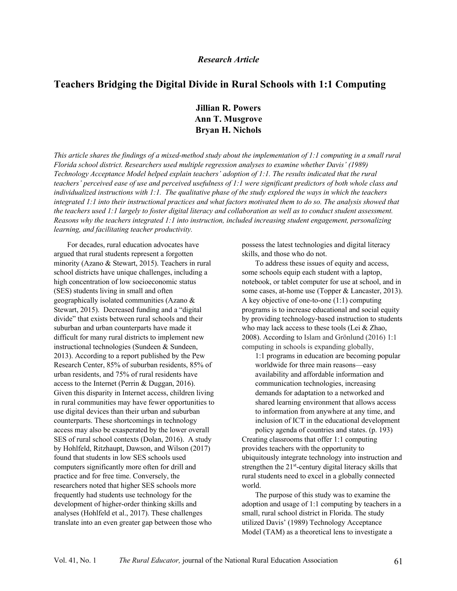## *Research Article*

## **Teachers Bridging the Digital Divide in Rural Schools with 1:1 Computing**

**Jillian R. Powers Ann T. Musgrove Bryan H. Nichols**

*This article shares the findings of a mixed-method study about the implementation of 1:1 computing in a small rural Florida school district. Researchers used multiple regression analyses to examine whether Davis' (1989) Technology Acceptance Model helped explain teachers' adoption of 1:1. The results indicated that the rural teachers' perceived ease of use and perceived usefulness of 1:1 were significant predictors of both whole class and individualized instructions with 1:1. The qualitative phase of the study explored the ways in which the teachers integrated 1:1 into their instructional practices and what factors motivated them to do so. The analysis showed that the teachers used 1:1 largely to foster digital literacy and collaboration as well as to conduct student assessment. Reasons why the teachers integrated 1:1 into instruction, included increasing student engagement, personalizing learning, and facilitating teacher productivity.*

For decades, rural education advocates have argued that rural students represent a forgotten minority (Azano & Stewart, 2015). Teachers in rural school districts have unique challenges, including a high concentration of low socioeconomic status (SES) students living in small and often geographically isolated communities (Azano & Stewart, 2015). Decreased funding and a "digital divide" that exists between rural schools and their suburban and urban counterparts have made it difficult for many rural districts to implement new instructional technologies (Sundeen & Sundeen, 2013). According to a report published by the Pew Research Center, 85% of suburban residents, 85% of urban residents, and 75% of rural residents have access to the Internet (Perrin & Duggan, 2016). Given this disparity in Internet access, children living in rural communities may have fewer opportunities to use digital devices than their urban and suburban counterparts. These shortcomings in technology access may also be exasperated by the lower overall SES of rural school contexts (Dolan, 2016). A study by Hohlfeld, Ritzhaupt, Dawson, and Wilson (2017) found that students in low SES schools used computers significantly more often for drill and practice and for free time. Conversely, the researchers noted that higher SES schools more frequently had students use technology for the development of higher-order thinking skills and analyses (Hohlfeld et al., 2017). These challenges translate into an even greater gap between those who

possess the latest technologies and digital literacy skills, and those who do not.

To address these issues of equity and access, some schools equip each student with a laptop, notebook, or tablet computer for use at school, and in some cases, at-home use (Topper & Lancaster, 2013). A key objective of one-to-one (1:1) computing programs is to increase educational and social equity by providing technology-based instruction to students who may lack access to these tools (Lei & Zhao, 2008). According to Islam and Grönlund (2016) 1:1 computing in schools is expanding globally,

1:1 programs in education are becoming popular worldwide for three main reasons—easy availability and affordable information and communication technologies, increasing demands for adaptation to a networked and shared learning environment that allows access to information from anywhere at any time, and inclusion of ICT in the educational development policy agenda of countries and states. (p. 193)

Creating classrooms that offer 1:1 computing provides teachers with the opportunity to ubiquitously integrate technology into instruction and strengthen the 21<sup>st</sup>-century digital literacy skills that rural students need to excel in a globally connected world.

The purpose of this study was to examine the adoption and usage of 1:1 computing by teachers in a small, rural school district in Florida. The study utilized Davis' (1989) Technology Acceptance Model (TAM) as a theoretical lens to investigate a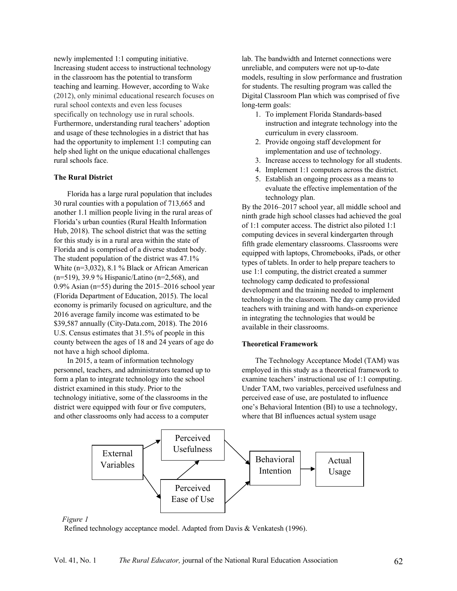newly implemented 1:1 computing initiative. Increasing student access to instructional technology in the classroom has the potential to transform teaching and learning. However, according to Wake (2012), only minimal educational research focuses on rural school contexts and even less focuses specifically on technology use in rural schools. Furthermore, understanding rural teachers' adoption and usage of these technologies in a district that has had the opportunity to implement 1:1 computing can help shed light on the unique educational challenges rural schools face.

## **The Rural District**

Florida has a large rural population that includes 30 rural counties with a population of 713,665 and another 1.1 million people living in the rural areas of Florida's urban counties (Rural Health Information Hub, 2018). The school district that was the setting for this study is in a rural area within the state of Florida and is comprised of a diverse student body. The student population of the district was 47.1% White (n=3,032), 8.1 % Black or African American (n=519), 39.9 % Hispanic/Latino (n=2,568), and 0.9% Asian (n=55) during the 2015–2016 school year (Florida Department of Education, 2015). The local economy is primarily focused on agriculture, and the 2016 average family income was estimated to be \$39,587 annually (City-Data.com, 2018). The 2016 U.S. Census estimates that 31.5% of people in this county between the ages of 18 and 24 years of age do not have a high school diploma.

In 2015, a team of information technology personnel, teachers, and administrators teamed up to form a plan to integrate technology into the school district examined in this study. Prior to the technology initiative, some of the classrooms in the district were equipped with four or five computers, and other classrooms only had access to a computer

lab. The bandwidth and Internet connections were unreliable, and computers were not up-to-date models, resulting in slow performance and frustration for students. The resulting program was called the Digital Classroom Plan which was comprised of five long-term goals:

- 1. To implement Florida Standards-based instruction and integrate technology into the curriculum in every classroom.
- 2. Provide ongoing staff development for implementation and use of technology.
- 3. Increase access to technology for all students.
- 4. Implement 1:1 computers across the district.
- 5. Establish an ongoing process as a means to evaluate the effective implementation of the technology plan.

By the 2016–2017 school year, all middle school and ninth grade high school classes had achieved the goal of 1:1 computer access. The district also piloted 1:1 computing devices in several kindergarten through fifth grade elementary classrooms. Classrooms were equipped with laptops, Chromebooks, iPads, or other types of tablets. In order to help prepare teachers to use 1:1 computing, the district created a summer technology camp dedicated to professional development and the training needed to implement technology in the classroom. The day camp provided teachers with training and with hands-on experience in integrating the technologies that would be available in their classrooms.

#### **Theoretical Framework**

The Technology Acceptance Model (TAM) was employed in this study as a theoretical framework to examine teachers' instructional use of 1:1 computing. Under TAM, two variables, perceived usefulness and perceived ease of use, are postulated to influence one's Behavioral Intention (BI) to use a technology, where that BI influences actual system usage



#### *Figure 1*

Refined technology acceptance model. Adapted from Davis & Venkatesh (1996).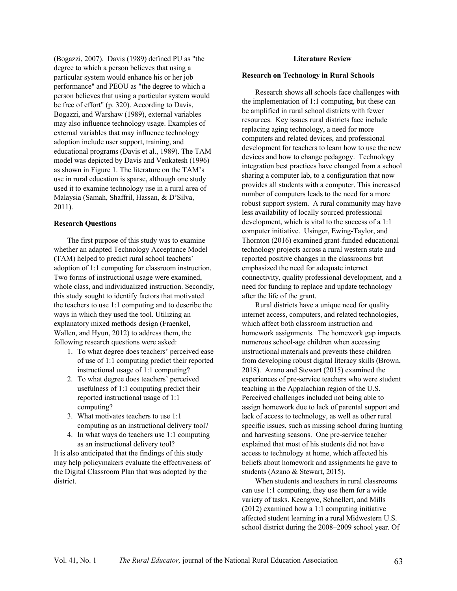(Bogazzi, 2007). Davis (1989) defined PU as "the degree to which a person believes that using a particular system would enhance his or her job performance" and PEOU as "the degree to which a person believes that using a particular system would be free of effort" (p. 320). According to Davis, Bogazzi, and Warshaw (1989), external variables may also influence technology usage. Examples of external variables that may influence technology adoption include user support, training, and educational programs (Davis et al., 1989). The TAM model was depicted by Davis and Venkatesh (1996) as shown in Figure 1. The literature on the TAM's use in rural education is sparse, although one study used it to examine technology use in a rural area of Malaysia (Samah, Shaffril, Hassan, & D'Silva, 2011).

#### **Research Questions**

The first purpose of this study was to examine whether an adapted Technology Acceptance Model (TAM) helped to predict rural school teachers' adoption of 1:1 computing for classroom instruction. Two forms of instructional usage were examined, whole class, and individualized instruction. Secondly, this study sought to identify factors that motivated the teachers to use 1:1 computing and to describe the ways in which they used the tool. Utilizing an explanatory mixed methods design (Fraenkel, Wallen, and Hyun, 2012) to address them, the following research questions were asked:

- 1. To what degree does teachers' perceived ease of use of 1:1 computing predict their reported instructional usage of 1:1 computing?
- 2. To what degree does teachers' perceived usefulness of 1:1 computing predict their reported instructional usage of 1:1 computing?
- 3. What motivates teachers to use 1:1 computing as an instructional delivery tool?
- 4. In what ways do teachers use 1:1 computing as an instructional delivery tool?

It is also anticipated that the findings of this study may help policymakers evaluate the effectiveness of the Digital Classroom Plan that was adopted by the district.

#### **Literature Review**

#### **Research on Technology in Rural Schools**

Research shows all schools face challenges with the implementation of 1:1 computing, but these can be amplified in rural school districts with fewer resources. Key issues rural districts face include replacing aging technology, a need for more computers and related devices, and professional development for teachers to learn how to use the new devices and how to change pedagogy. Technology integration best practices have changed from a school sharing a computer lab, to a configuration that now provides all students with a computer. This increased number of computers leads to the need for a more robust support system. A rural community may have less availability of locally sourced professional development, which is vital to the success of a 1:1 computer initiative. Usinger, Ewing-Taylor, and Thornton (2016) examined grant-funded educational technology projects across a rural western state and reported positive changes in the classrooms but emphasized the need for adequate internet connectivity, quality professional development, and a need for funding to replace and update technology after the life of the grant.

Rural districts have a unique need for quality internet access, computers, and related technologies, which affect both classroom instruction and homework assignments. The homework gap impacts numerous school-age children when accessing instructional materials and prevents these children from developing robust digital literacy skills (Brown, 2018). Azano and Stewart (2015) examined the experiences of pre-service teachers who were student teaching in the Appalachian region of the U.S. Perceived challenges included not being able to assign homework due to lack of parental support and lack of access to technology, as well as other rural specific issues, such as missing school during hunting and harvesting seasons. One pre-service teacher explained that most of his students did not have access to technology at home, which affected his beliefs about homework and assignments he gave to students (Azano & Stewart, 2015).

When students and teachers in rural classrooms can use 1:1 computing, they use them for a wide variety of tasks. Keengwe, Schnellert, and Mills (2012) examined how a 1:1 computing initiative affected student learning in a rural Midwestern U.S. school district during the 2008–2009 school year. Of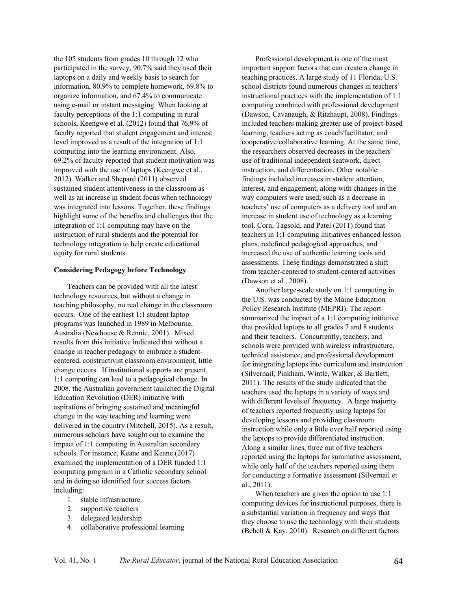the 105 students from grades 10 through 12 who participated in the survey, 90.7% said they used their laptops on a daily and weekly basis to search for information, 80.9% to complete homework, 69.8% to organize information, and 67.4% to communicate using e-mail or instant messaging. When looking at faculty perceptions of the 1:1 computing in rural schools, Keengwe et al. (2012) found that 76.9% of faculty reported that student engagement and interest level improved as a result of the integration of 1:1 computing into the learning environment. Also, 69.2% of faculty reported that student motivation was improved with the use of laptops (Keengwe et al., 2012). Walker and Shepard (2011) observed sustained student attentiveness in the classroom as well as an increase in student focus when technology was integrated into lessons. Together, these findings highlight some of the benefits and challenges that the integration of 1:1 computing may have on the instruction of rural students and the potential for technology integration to help create educational equity for rural students.

#### **Considering Pedagogy before Technology**

Teachers can be provided with all the latest technology resources, but without a change in teaching philosophy, no real change in the classroom occurs. One of the earliest 1:1 student laptop programs was launched in 1989 in Melbourne, Australia (Newhouse & Rennie, 2001). Mixed results from this initiative indicated that without a change in teacher pedagogy to embrace a studentcentered, constructivist classroom environment, little change occurs. If institutional supports are present, 1:1 computing can lead to a pedagogical change. In 2008, the Australian government launched the Digital Education Revolution (DER) initiative with aspirations of bringing sustained and meaningful change in the way teaching and learning were delivered in the country (Mitchell, 2015). As a result, numerous scholars have sought out to examine the impact of 1:1 computing in Australian secondary schools. For instance, Keane and Keane (2017) examined the implementation of a DER funded 1:1 computing program in a Catholic secondary school and in doing so identified four success factors including:

- 1. stable infrastructure
- 2. supportive teachers
- 3. delegated leadership
- 4. collaborative professional learning

Professional development is one of the most important support factors that can create a change in teaching practices. A large study of 11 Florida, U.S. school districts found numerous changes in teachers' instructional practices with the implementation of 1:1 computing combined with professional development (Dawson, Cavanaugh, & Ritzhaupt, 2008). Findings included teachers making greater use of project-based learning, teachers acting as coach/facilitator, and cooperative/collaborative learning. At the same time, the researchers observed decreases in the teachers' use of traditional independent seatwork, direct instruction, and differentiation. Other notable findings included increases in student attention, interest, and engagement, along with changes in the way computers were used, such as a decrease in teachers' use of computers as a delivery tool and an increase in student use of technology as a learning tool. Corn, Tagsold, and Patel (2011) found that teachers in 1:1 computing initiatives enhanced lesson plans, redefined pedagogical approaches, and increased the use of authentic learning tools and assessments. These findings demonstrated a shift from teacher-centered to student-centered activities (Dawson et al., 2008).

Another large-scale study on 1:1 computing in the U.S. was conducted by the Maine Education Policy Research Institute (MEPRI). The report summarized the impact of a 1:1 computing initiative that provided laptops to all grades 7 and 8 students and their teachers. Concurrently, teachers, and schools were provided with wireless infrastructure, technical assistance, and professional development for integrating laptops into curriculum and instruction (Silvernail, Pinkham, Wintle, Walker, & Bartlett, 2011). The results of the study indicated that the teachers used the laptops in a variety of ways and with different levels of frequency. A large majority of teachers reported frequently using laptops for developing lessons and providing classroom instruction while only a little over half reported using the laptops to provide differentiated instruction. Along a similar lines, three out of five teachers reported using the laptops for summative assessment, while only half of the teachers reported using them for conducting a formative assessment (Silvernail et al., 2011).

When teachers are given the option to use 1:1 computing devices for instructional purposes, there is a substantial variation in frequency and ways that they choose to use the technology with their students (Bebell & Kay, 2010). Research on different factors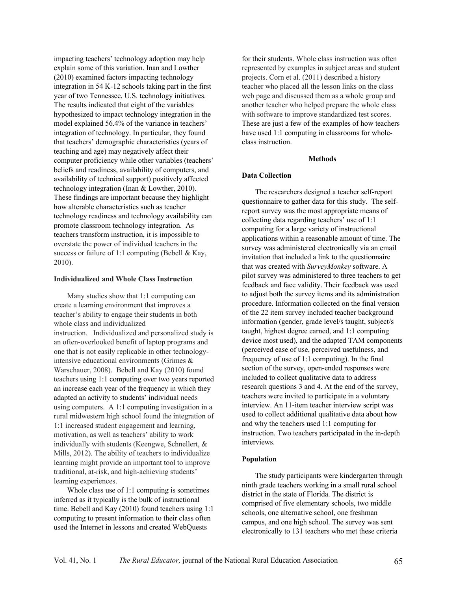impacting teachers' technology adoption may help explain some of this variation. Inan and Lowther (2010) examined factors impacting technology integration in 54 K-12 schools taking part in the first year of two Tennessee, U.S. technology initiatives. The results indicated that eight of the variables hypothesized to impact technology integration in the model explained 56.4% of the variance in teachers' integration of technology. In particular, they found that teachers' demographic characteristics (years of teaching and age) may negatively affect their computer proficiency while other variables (teachers' beliefs and readiness, availability of computers, and availability of technical support) positively affected technology integration (Inan & Lowther, 2010). These findings are important because they highlight how alterable characteristics such as teacher technology readiness and technology availability can promote classroom technology integration. As teachers transform instruction, it is impossible to overstate the power of individual teachers in the success or failure of 1:1 computing (Bebell & Kay, 2010).

#### **Individualized and Whole Class Instruction**

Many studies show that 1:1 computing can create a learning environment that improves a teacher's ability to engage their students in both whole class and individualized instruction. Individualized and personalized study is an often-overlooked benefit of laptop programs and one that is not easily replicable in other technologyintensive educational environments (Grimes & Warschauer, 2008). Bebell and Kay (2010) found teachers using 1:1 computing over two years reported an increase each year of the frequency in which they adapted an activity to students' individual needs using computers. A 1:1 computing investigation in a rural midwestern high school found the integration of 1:1 increased student engagement and learning, motivation, as well as teachers' ability to work individually with students (Keengwe, Schnellert, & Mills, 2012). The ability of teachers to individualize learning might provide an important tool to improve traditional, at-risk, and high-achieving students' learning experiences.

Whole class use of 1:1 computing is sometimes inferred as it typically is the bulk of instructional time. Bebell and Kay (2010) found teachers using 1:1 computing to present information to their class often used the Internet in lessons and created WebQuests

for their students. Whole class instruction was often represented by examples in subject areas and student projects. Corn et al. (2011) described a history teacher who placed all the lesson links on the class web page and discussed them as a whole group and another teacher who helped prepare the whole class with software to improve standardized test scores. These are just a few of the examples of how teachers have used 1:1 computing in classrooms for wholeclass instruction.

#### **Methods**

#### **Data Collection**

The researchers designed a teacher self-report questionnaire to gather data for this study. The selfreport survey was the most appropriate means of collecting data regarding teachers' use of 1:1 computing for a large variety of instructional applications within a reasonable amount of time. The survey was administered electronically via an email invitation that included a link to the questionnaire that was created with *SurveyMonkey* software. A pilot survey was administered to three teachers to get feedback and face validity. Their feedback was used to adjust both the survey items and its administration procedure. Information collected on the final version of the 22 item survey included teacher background information (gender, grade level/s taught, subject/s taught, highest degree earned, and 1:1 computing device most used), and the adapted TAM components (perceived ease of use, perceived usefulness, and frequency of use of 1:1 computing). In the final section of the survey, open-ended responses were included to collect qualitative data to address research questions 3 and 4. At the end of the survey, teachers were invited to participate in a voluntary interview. An 11-item teacher interview script was used to collect additional qualitative data about how and why the teachers used 1:1 computing for instruction. Two teachers participated in the in-depth interviews.

## **Population**

The study participants were kindergarten through ninth grade teachers working in a small rural school district in the state of Florida. The district is comprised of five elementary schools, two middle schools, one alternative school, one freshman campus, and one high school. The survey was sent electronically to 131 teachers who met these criteria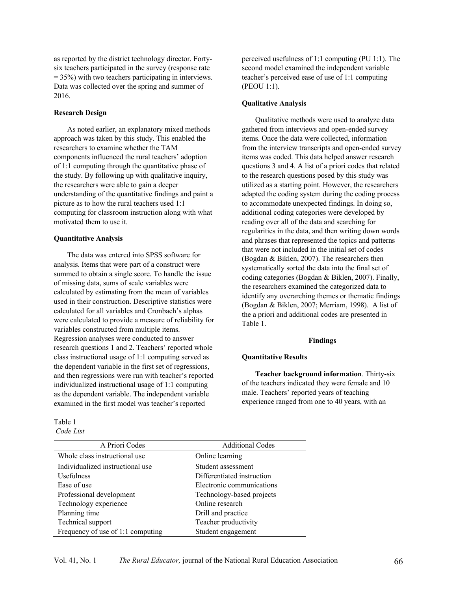as reported by the district technology director. Fortysix teachers participated in the survey (response rate  $= 35\%$ ) with two teachers participating in interviews. Data was collected over the spring and summer of 2016.

#### **Research Design**

As noted earlier, an explanatory mixed methods approach was taken by this study. This enabled the researchers to examine whether the TAM components influenced the rural teachers' adoption of 1:1 computing through the quantitative phase of the study. By following up with qualitative inquiry, the researchers were able to gain a deeper understanding of the quantitative findings and paint a picture as to how the rural teachers used 1:1 computing for classroom instruction along with what motivated them to use it.

#### **Quantitative Analysis**

The data was entered into SPSS software for analysis. Items that were part of a construct were summed to obtain a single score. To handle the issue of missing data, sums of scale variables were calculated by estimating from the mean of variables used in their construction. Descriptive statistics were calculated for all variables and Cronbach's alphas were calculated to provide a measure of reliability for variables constructed from multiple items. Regression analyses were conducted to answer research questions 1 and 2. Teachers' reported whole class instructional usage of 1:1 computing served as the dependent variable in the first set of regressions, and then regressions were run with teacher's reported individualized instructional usage of 1:1 computing as the dependent variable. The independent variable examined in the first model was teacher's reported

Table 1 *Code List* perceived usefulness of 1:1 computing (PU 1:1). The second model examined the independent variable teacher's perceived ease of use of 1:1 computing (PEOU 1:1).

#### **Qualitative Analysis**

Qualitative methods were used to analyze data gathered from interviews and open-ended survey items. Once the data were collected, information from the interview transcripts and open-ended survey items was coded. This data helped answer research questions 3 and 4. A list of a priori codes that related to the research questions posed by this study was utilized as a starting point. However, the researchers adapted the coding system during the coding process to accommodate unexpected findings. In doing so, additional coding categories were developed by reading over all of the data and searching for regularities in the data, and then writing down words and phrases that represented the topics and patterns that were not included in the initial set of codes (Bogdan & Biklen, 2007). The researchers then systematically sorted the data into the final set of coding categories (Bogdan & Biklen, 2007). Finally, the researchers examined the categorized data to identify any overarching themes or thematic findings (Bogdan & Biklen, 2007; Merriam, 1998). A list of the a priori and additional codes are presented in Table 1.

#### **Findings**

#### **Quantitative Results**

**Teacher background information***.* Thirty-six of the teachers indicated they were female and 10 male. Teachers' reported years of teaching experience ranged from one to 40 years, with an

| A Priori Codes                    | <b>Additional Codes</b>    |
|-----------------------------------|----------------------------|
| Whole class instructional use     | Online learning            |
| Individualized instructional use  | Student assessment         |
| Usefulness                        | Differentiated instruction |
| Ease of use                       | Electronic communications  |
| Professional development          | Technology-based projects  |
| Technology experience             | Online research            |
| Planning time                     | Drill and practice         |
| Technical support                 | Teacher productivity       |
| Frequency of use of 1:1 computing | Student engagement         |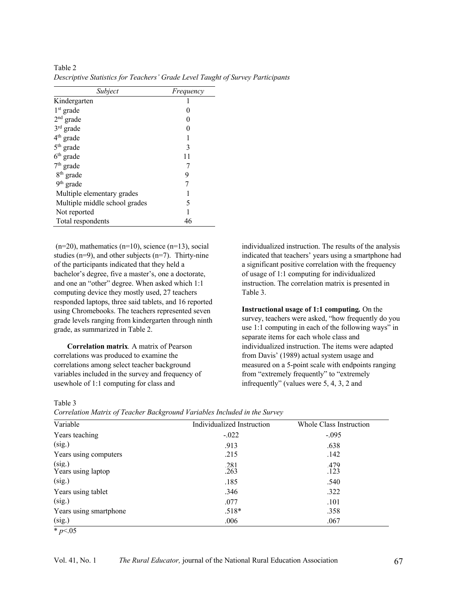| Subject                       | Frequency |
|-------------------------------|-----------|
| Kindergarten                  |           |
| $1st$ grade                   |           |
| $2nd$ grade                   |           |
| $3rd$ grade                   |           |
| $4th$ grade                   |           |
| $5th$ grade                   | 3         |
| $6th$ grade                   | 11        |
| $7th$ grade                   |           |
| 8 <sup>th</sup> grade         | 9         |
| 9 <sup>th</sup> grade         |           |
| Multiple elementary grades    |           |
| Multiple middle school grades | 5         |
| Not reported                  |           |
| Total respondents             | 46        |

Table 2 *Descriptive Statistics for Teachers' Grade Level Taught of Survey Participants* 

 $(n=20)$ , mathematics  $(n=10)$ , science  $(n=13)$ , social studies ( $n=9$ ), and other subjects ( $n=7$ ). Thirty-nine of the participants indicated that they held a bachelor's degree, five a master's, one a doctorate, and one an "other" degree. When asked which 1:1 computing device they mostly used, 27 teachers responded laptops, three said tablets, and 16 reported using Chromebooks. The teachers represented seven grade levels ranging from kindergarten through ninth grade, as summarized in Table 2.

**Correlation matrix***.* A matrix of Pearson correlations was produced to examine the correlations among select teacher background variables included in the survey and frequency of usewhole of 1:1 computing for class and

individualized instruction. The results of the analysis indicated that teachers' years using a smartphone had a significant positive correlation with the frequency of usage of 1:1 computing for individualized instruction. The correlation matrix is presented in Table 3.

**Instructional usage of 1:1 computing***.* On the survey, teachers were asked, "how frequently do you use 1:1 computing in each of the following ways" in separate items for each whole class and individualized instruction. The items were adapted from Davis' (1989) actual system usage and measured on a 5-point scale with endpoints ranging from "extremely frequently" to "extremely infrequently" (values were 5, 4, 3, 2 and

Table 3

| Variable                     | Individualized Instruction | Whole Class Instruction |
|------------------------------|----------------------------|-------------------------|
| Years teaching               | $-.022$                    | $-.095$                 |
| (sig.)                       | .913                       | .638                    |
| Years using computers        | .215                       | .142                    |
| (sig.)<br>Years using laptop | .281<br>.263               | .479<br>.123            |
| (sig.)                       | .185                       | .540                    |
| Years using tablet           | .346                       | .322                    |
| (sig.)                       | .077                       | .101                    |
| Years using smartphone       | $.518*$                    | .358                    |
| (sig.)                       | .006                       | .067                    |

\* *p*<.05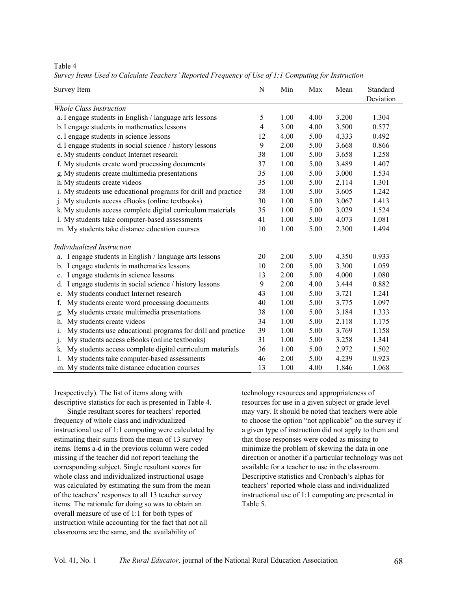Table 4

*Survey Items Used to Calculate Teachers' Reported Frequency of Use of 1:1 Computing for Instruction*

| Survey Item                                                       | N  | Min  | Max  | Mean  | Standard<br>Deviation |
|-------------------------------------------------------------------|----|------|------|-------|-----------------------|
| <b>Whole Class Instruction</b>                                    |    |      |      |       |                       |
| a. I engage students in English / language arts lessons           | 5  | 1.00 | 4.00 | 3.200 | 1.304                 |
| b. I engage students in mathematics lessons                       | 4  | 3.00 | 4.00 | 3.500 | 0.577                 |
| c. I engage students in science lessons                           | 12 | 4.00 | 5.00 | 4.333 | 0.492                 |
| d. I engage students in social science / history lessons          | 9  | 2.00 | 5.00 | 3.668 | 0.866                 |
| e. My students conduct Internet research                          | 38 | 1.00 | 5.00 | 3.658 | 1.258                 |
| f. My students create word processing documents                   | 37 | 1.00 | 5.00 | 3.489 | 1.407                 |
| g. My students create multimedia presentations                    | 35 | 1.00 | 5.00 | 3.000 | 1.534                 |
| h. My students create videos                                      | 35 | 1.00 | 5.00 | 2.114 | 1.301                 |
| i. My students use educational programs for drill and practice    | 38 | 1.00 | 5.00 | 3.605 | 1.242                 |
| j. My students access eBooks (online textbooks)                   | 30 | 1.00 | 5.00 | 3.067 | 1.413                 |
| k. My students access complete digital curriculum materials       | 35 | 1.00 | 5.00 | 3.029 | 1.524                 |
| l. My students take computer-based assessments                    | 41 | 1.00 | 5.00 | 4.073 | 1.081                 |
| m. My students take distance education courses                    | 10 | 1.00 | 5.00 | 2.300 | 1.494                 |
| Individualized Instruction                                        |    |      |      |       |                       |
| I engage students in English / language arts lessons              | 20 | 2.00 | 5.00 | 4.350 | 0.933                 |
| b. I engage students in mathematics lessons                       | 10 | 2.00 | 5.00 | 3.300 | 1.059                 |
| I engage students in science lessons<br>c.                        | 13 | 2.00 | 5.00 | 4.000 | 1.080                 |
| I engage students in social science / history lessons<br>d.       | 9  | 2.00 | 4.00 | 3.444 | 0.882                 |
| My students conduct Internet research<br>e.                       | 43 | 1.00 | 5.00 | 3.721 | 1.241                 |
| My students create word processing documents<br>f.                | 40 | 1.00 | 5.00 | 3.775 | 1.097                 |
| My students create multimedia presentations<br>g.                 | 38 | 1.00 | 5.00 | 3.184 | 1.333                 |
| My students create videos<br>h.                                   | 34 | 1.00 | 5.00 | 2.118 | 1.175                 |
| My students use educational programs for drill and practice<br>1. | 39 | 1.00 | 5.00 | 3.769 | 1.158                 |
| My students access eBooks (online textbooks)<br>$\mathbf{1}$      | 31 | 1.00 | 5.00 | 3.258 | 1.341                 |
| My students access complete digital curriculum materials<br>k.    | 36 | 1.00 | 5.00 | 2.972 | 1.502                 |
| My students take computer-based assessments                       | 46 | 2.00 | 5.00 | 4.239 | 0.923                 |
| m. My students take distance education courses                    | 13 | 1.00 | 4.00 | 1.846 | 1.068                 |

1respectively). The list of items along with descriptive statistics for each is presented in Table 4.

Single resultant scores for teachers' reported frequency of whole class and individualized instructional use of 1:1 computing were calculated by estimating their sums from the mean of 13 survey items. Items a-d in the previous column were coded missing if the teacher did not report teaching the corresponding subject. Single resultant scores for whole class and individualized instructional usage was calculated by estimating the sum from the mean of the teachers' responses to all 13 teacher survey items. The rationale for doing so was to obtain an overall measure of use of 1:1 for both types of instruction while accounting for the fact that not all classrooms are the same, and the availability of

technology resources and appropriateness of resources for use in a given subject or grade level may vary. It should be noted that teachers were able to choose the option "not applicable" on the survey if a given type of instruction did not apply to them and that those responses were coded as missing to minimize the problem of skewing the data in one direction or another if a particular technology was not available for a teacher to use in the classroom. Descriptive statistics and Cronbach's alphas for teachers' reported whole class and individualized instructional use of 1:1 computing are presented in Table 5.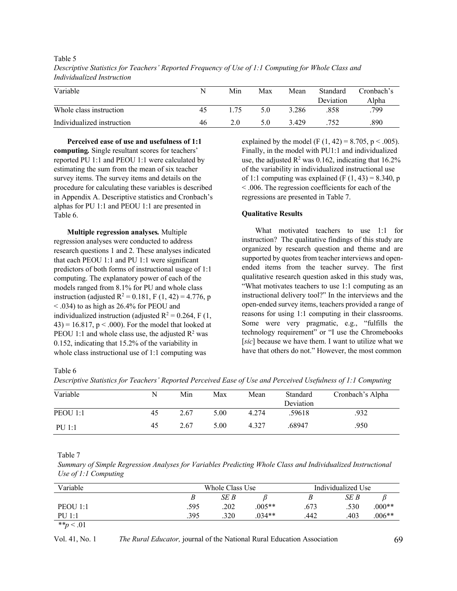| Variable                   | N  | Min | Max | Mean  | <b>Standard</b><br>Deviation | Cronbach's<br>Alpha |
|----------------------------|----|-----|-----|-------|------------------------------|---------------------|
| Whole class instruction    | 45 | -75 | 5.0 | 3.286 | .858                         | .799                |
| Individualized instruction | 46 | 2.0 | 5.0 | 3.429 | .752                         | .890                |

Table 5 *Descriptive Statistics for Teachers' Reported Frequency of Use of 1:1 Computing for Whole Class and Individualized Instruction* 

**Perceived ease of use and usefulness of 1:1 computing***.* Single resultant scores for teachers' reported PU 1:1 and PEOU 1:1 were calculated by estimating the sum from the mean of six teacher survey items. The survey items and details on the procedure for calculating these variables is described in Appendix A. Descriptive statistics and Cronbach's alphas for PU 1:1 and PEOU 1:1 are presented in Table 6.

**Multiple regression analyses***.* Multiple regression analyses were conducted to address research questions 1 and 2. These analyses indicated that each PEOU 1:1 and PU 1:1 were significant predictors of both forms of instructional usage of 1:1 computing. The explanatory power of each of the models ranged from 8.1% for PU and whole class instruction (adjusted  $R^2 = 0.181$ , F (1, 42) = 4.776, p < .034) to as high as 26.4% for PEOU and individualized instruction (adjusted  $R^2 = 0.264$ , F (1,  $(43) = 16.817$ , p < .000). For the model that looked at PEOU 1:1 and whole class use, the adjusted  $\mathbb{R}^2$  was 0.152, indicating that 15.2% of the variability in whole class instructional use of 1:1 computing was

explained by the model (F  $(1, 42) = 8.705$ , p < .005). Finally, in the model with PU1:1 and individualized use, the adjusted  $\mathbb{R}^2$  was 0.162, indicating that 16.2% of the variability in individualized instructional use of 1:1 computing was explained (F  $(1, 43) = 8.340$ , p < .006. The regression coefficients for each of the regressions are presented in Table 7.

## **Qualitative Results**

What motivated teachers to use 1:1 for instruction? The qualitative findings of this study are organized by research question and theme and are supported by quotes from teacher interviews and openended items from the teacher survey. The first qualitative research question asked in this study was, "What motivates teachers to use 1:1 computing as an instructional delivery tool?" In the interviews and the open-ended survey items, teachers provided a range of reasons for using 1:1 computing in their classrooms. Some were very pragmatic, e.g., "fulfills the technology requirement" or "I use the Chromebooks [*sic*] because we have them. I want to utilize what we have that others do not." However, the most common

Table 6

*Descriptive Statistics for Teachers' Reported Perceived Ease of Use and Perceived Usefulness of 1:1 Computing*

| Variable      | N  | Min  | Max  | Mean  | Standard<br>Deviation | Cronbach's Alpha |
|---------------|----|------|------|-------|-----------------------|------------------|
| PEOU 1:1      | 45 | 2.67 | 5.00 | 4.274 | .59618                | .932             |
| <b>PU 1:1</b> | 45 | 2.67 | 5.00 | 4.327 | .68947                | .950             |

#### Table 7

*Summary of Simple Regression Analyses for Variables Predicting Whole Class and Individualized Instructional Use of 1:1 Computing*

| Variable     |      | Whole Class Use |          |      | Individualized Use |          |  |
|--------------|------|-----------------|----------|------|--------------------|----------|--|
|              | B    | SE B            |          | D    | SE B               |          |  |
| PEOU 1:1     | .595 | .202            | $.005**$ | .673 | .530               | $.000**$ |  |
| PU 1:1       | .395 | .320            | $.034**$ | .442 | .403               | $.006**$ |  |
| ** $p < .01$ |      |                 |          |      |                    |          |  |

Vol. 41, No. 1 *The Rural Educator,* journal of the National Rural Education Association 69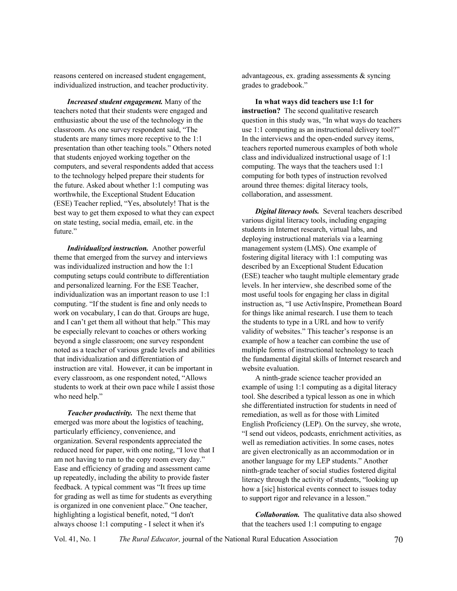reasons centered on increased student engagement, individualized instruction, and teacher productivity.

*Increased student engagement.* Many of the teachers noted that their students were engaged and enthusiastic about the use of the technology in the classroom. As one survey respondent said, "The students are many times more receptive to the 1:1 presentation than other teaching tools." Others noted that students enjoyed working together on the computers, and several respondents added that access to the technology helped prepare their students for the future. Asked about whether 1:1 computing was worthwhile, the Exceptional Student Education (ESE) Teacher replied, "Yes, absolutely! That is the best way to get them exposed to what they can expect on state testing, social media, email, etc. in the future."

*Individualized instruction.* Another powerful theme that emerged from the survey and interviews was individualized instruction and how the 1:1 computing setups could contribute to differentiation and personalized learning. For the ESE Teacher, individualization was an important reason to use 1:1 computing. "If the student is fine and only needs to work on vocabulary, I can do that. Groups are huge, and I can't get them all without that help." This may be especially relevant to coaches or others working beyond a single classroom; one survey respondent noted as a teacher of various grade levels and abilities that individualization and differentiation of instruction are vital. However, it can be important in every classroom, as one respondent noted, "Allows students to work at their own pace while I assist those who need help."

*Teacher productivity.* The next theme that emerged was more about the logistics of teaching, particularly efficiency, convenience, and organization. Several respondents appreciated the reduced need for paper, with one noting, "I love that I am not having to run to the copy room every day." Ease and efficiency of grading and assessment came up repeatedly, including the ability to provide faster feedback. A typical comment was "It frees up time for grading as well as time for students as everything is organized in one convenient place." One teacher, highlighting a logistical benefit, noted, "I don't always choose 1:1 computing - I select it when it's

advantageous, ex. grading assessments & syncing grades to gradebook."

**In what ways did teachers use 1:1 for instruction?** The second qualitative research question in this study was, "In what ways do teachers use 1:1 computing as an instructional delivery tool?" In the interviews and the open-ended survey items, teachers reported numerous examples of both whole class and individualized instructional usage of 1:1 computing. The ways that the teachers used 1:1 computing for both types of instruction revolved around three themes: digital literacy tools, collaboration, and assessment.

*Digital literacy tools.* Several teachers described various digital literacy tools, including engaging students in Internet research, virtual labs, and deploying instructional materials via a learning management system (LMS). One example of fostering digital literacy with 1:1 computing was described by an Exceptional Student Education (ESE) teacher who taught multiple elementary grade levels. In her interview, she described some of the most useful tools for engaging her class in digital instruction as, "I use ActivInspire, Promethean Board for things like animal research. I use them to teach the students to type in a URL and how to verify validity of websites." This teacher's response is an example of how a teacher can combine the use of multiple forms of instructional technology to teach the fundamental digital skills of Internet research and website evaluation.

A ninth-grade science teacher provided an example of using 1:1 computing as a digital literacy tool. She described a typical lesson as one in which she differentiated instruction for students in need of remediation, as well as for those with Limited English Proficiency (LEP). On the survey, she wrote, "I send out videos, podcasts, enrichment activities, as well as remediation activities. In some cases, notes are given electronically as an accommodation or in another language for my LEP students." Another ninth-grade teacher of social studies fostered digital literacy through the activity of students, "looking up how a [sic] historical events connect to issues today to support rigor and relevance in a lesson."

*Collaboration.* The qualitative data also showed that the teachers used 1:1 computing to engage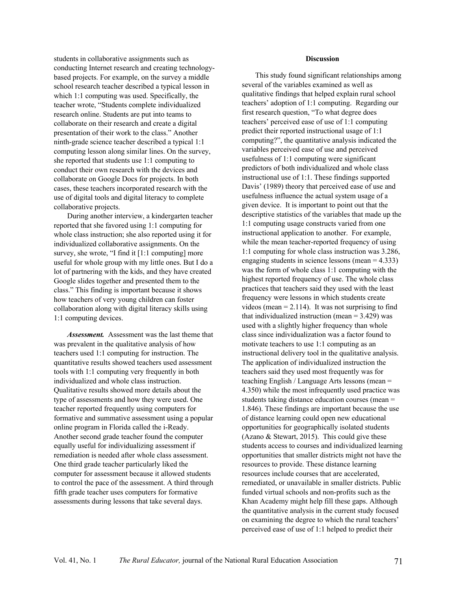students in collaborative assignments such as conducting Internet research and creating technologybased projects. For example, on the survey a middle school research teacher described a typical lesson in which 1:1 computing was used. Specifically, the teacher wrote, "Students complete individualized research online. Students are put into teams to collaborate on their research and create a digital presentation of their work to the class." Another ninth-grade science teacher described a typical 1:1 computing lesson along similar lines. On the survey, she reported that students use 1:1 computing to conduct their own research with the devices and collaborate on Google Docs for projects. In both cases, these teachers incorporated research with the use of digital tools and digital literacy to complete collaborative projects.

During another interview, a kindergarten teacher reported that she favored using 1:1 computing for whole class instruction; she also reported using it for individualized collaborative assignments. On the survey, she wrote, "I find it [1:1 computing] more useful for whole group with my little ones. But I do a lot of partnering with the kids, and they have created Google slides together and presented them to the class." This finding is important because it shows how teachers of very young children can foster collaboration along with digital literacy skills using 1:1 computing devices.

*Assessment.* Assessment was the last theme that was prevalent in the qualitative analysis of how teachers used 1:1 computing for instruction. The quantitative results showed teachers used assessment tools with 1:1 computing very frequently in both individualized and whole class instruction. Qualitative results showed more details about the type of assessments and how they were used. One teacher reported frequently using computers for formative and summative assessment using a popular online program in Florida called the i-Ready. Another second grade teacher found the computer equally useful for individualizing assessment if remediation is needed after whole class assessment. One third grade teacher particularly liked the computer for assessment because it allowed students to control the pace of the assessment. A third through fifth grade teacher uses computers for formative assessments during lessons that take several days.

#### **Discussion**

This study found significant relationships among several of the variables examined as well as qualitative findings that helped explain rural school teachers' adoption of 1:1 computing. Regarding our first research question, "To what degree does teachers' perceived ease of use of 1:1 computing predict their reported instructional usage of 1:1 computing?", the quantitative analysis indicated the variables perceived ease of use and perceived usefulness of 1:1 computing were significant predictors of both individualized and whole class instructional use of 1:1. These findings supported Davis' (1989) theory that perceived ease of use and usefulness influence the actual system usage of a given device. It is important to point out that the descriptive statistics of the variables that made up the 1:1 computing usage constructs varied from one instructional application to another. For example, while the mean teacher-reported frequency of using 1:1 computing for whole class instruction was 3.286, engaging students in science lessons (mean = 4.333) was the form of whole class 1:1 computing with the highest reported frequency of use. The whole class practices that teachers said they used with the least frequency were lessons in which students create videos (mean  $= 2.114$ ). It was not surprising to find that individualized instruction (mean  $= 3.429$ ) was used with a slightly higher frequency than whole class since individualization was a factor found to motivate teachers to use 1:1 computing as an instructional delivery tool in the qualitative analysis. The application of individualized instruction the teachers said they used most frequently was for teaching English / Language Arts lessons (mean = 4.350) while the most infrequently used practice was students taking distance education courses (mean = 1.846). These findings are important because the use of distance learning could open new educational opportunities for geographically isolated students (Azano & Stewart, 2015). This could give these students access to courses and individualized learning opportunities that smaller districts might not have the resources to provide. These distance learning resources include courses that are accelerated, remediated, or unavailable in smaller districts. Public funded virtual schools and non-profits such as the Khan Academy might help fill these gaps. Although the quantitative analysis in the current study focused on examining the degree to which the rural teachers' perceived ease of use of 1:1 helped to predict their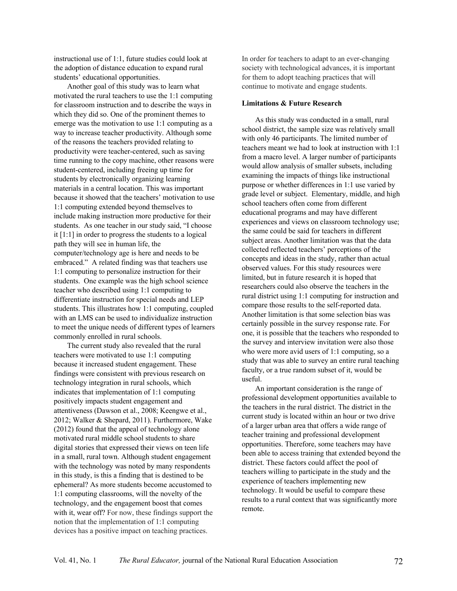instructional use of 1:1, future studies could look at the adoption of distance education to expand rural students' educational opportunities.

Another goal of this study was to learn what motivated the rural teachers to use the 1:1 computing for classroom instruction and to describe the ways in which they did so. One of the prominent themes to emerge was the motivation to use 1:1 computing as a way to increase teacher productivity. Although some of the reasons the teachers provided relating to productivity were teacher-centered, such as saving time running to the copy machine, other reasons were student-centered, including freeing up time for students by electronically organizing learning materials in a central location. This was important because it showed that the teachers' motivation to use 1:1 computing extended beyond themselves to include making instruction more productive for their students. As one teacher in our study said, "I choose it [1:1] in order to progress the students to a logical path they will see in human life, the computer/technology age is here and needs to be embraced." A related finding was that teachers use 1:1 computing to personalize instruction for their students. One example was the high school science teacher who described using 1:1 computing to differentiate instruction for special needs and LEP students. This illustrates how 1:1 computing, coupled with an LMS can be used to individualize instruction to meet the unique needs of different types of learners commonly enrolled in rural schools.

The current study also revealed that the rural teachers were motivated to use 1:1 computing because it increased student engagement. These findings were consistent with previous research on technology integration in rural schools, which indicates that implementation of 1:1 computing positively impacts student engagement and attentiveness (Dawson et al., 2008; Keengwe et al., 2012; Walker & Shepard, 2011). Furthermore, Wake (2012) found that the appeal of technology alone motivated rural middle school students to share digital stories that expressed their views on teen life in a small, rural town. Although student engagement with the technology was noted by many respondents in this study, is this a finding that is destined to be ephemeral? As more students become accustomed to 1:1 computing classrooms, will the novelty of the technology, and the engagement boost that comes with it, wear off? For now, these findings support the notion that the implementation of 1:1 computing devices has a positive impact on teaching practices.

In order for teachers to adapt to an ever-changing society with technological advances, it is important for them to adopt teaching practices that will continue to motivate and engage students.

#### **Limitations & Future Research**

As this study was conducted in a small, rural school district, the sample size was relatively small with only 46 participants. The limited number of teachers meant we had to look at instruction with 1:1 from a macro level. A larger number of participants would allow analysis of smaller subsets, including examining the impacts of things like instructional purpose or whether differences in 1:1 use varied by grade level or subject. Elementary, middle, and high school teachers often come from different educational programs and may have different experiences and views on classroom technology use; the same could be said for teachers in different subject areas. Another limitation was that the data collected reflected teachers' perceptions of the concepts and ideas in the study, rather than actual observed values. For this study resources were limited, but in future research it is hoped that researchers could also observe the teachers in the rural district using 1:1 computing for instruction and compare those results to the self-reported data. Another limitation is that some selection bias was certainly possible in the survey response rate. For one, it is possible that the teachers who responded to the survey and interview invitation were also those who were more avid users of 1:1 computing, so a study that was able to survey an entire rural teaching faculty, or a true random subset of it, would be useful.

An important consideration is the range of professional development opportunities available to the teachers in the rural district. The district in the current study is located within an hour or two drive of a larger urban area that offers a wide range of teacher training and professional development opportunities. Therefore, some teachers may have been able to access training that extended beyond the district. These factors could affect the pool of teachers willing to participate in the study and the experience of teachers implementing new technology. It would be useful to compare these results to a rural context that was significantly more remote.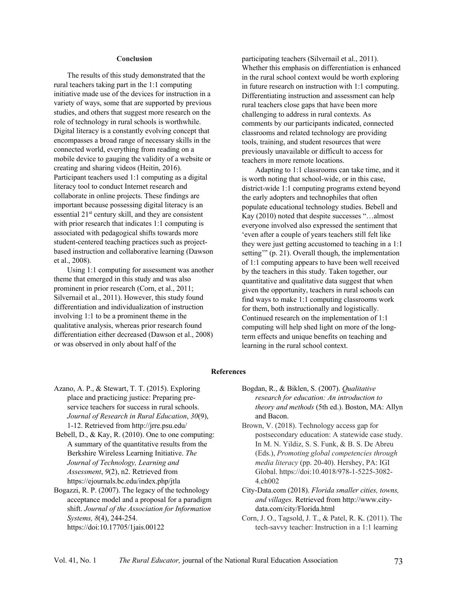#### **Conclusion**

The results of this study demonstrated that the rural teachers taking part in the 1:1 computing initiative made use of the devices for instruction in a variety of ways, some that are supported by previous studies, and others that suggest more research on the role of technology in rural schools is worthwhile. Digital literacy is a constantly evolving concept that encompasses a broad range of necessary skills in the connected world, everything from reading on a mobile device to gauging the validity of a website or creating and sharing videos (Heitin, 2016). Participant teachers used 1:1 computing as a digital literacy tool to conduct Internet research and collaborate in online projects. These findings are important because possessing digital literacy is an essential 21<sup>st</sup> century skill, and they are consistent with prior research that indicates 1:1 computing is associated with pedagogical shifts towards more student-centered teaching practices such as projectbased instruction and collaborative learning (Dawson et al., 2008).

Using 1:1 computing for assessment was another theme that emerged in this study and was also prominent in prior research (Corn, et al., 2011; Silvernail et al., 2011). However, this study found differentiation and individualization of instruction involving 1:1 to be a prominent theme in the qualitative analysis, whereas prior research found differentiation either decreased (Dawson et al., 2008) or was observed in only about half of the

participating teachers (Silvernail et al., 2011). Whether this emphasis on differentiation is enhanced in the rural school context would be worth exploring in future research on instruction with 1:1 computing. Differentiating instruction and assessment can help rural teachers close gaps that have been more challenging to address in rural contexts. As comments by our participants indicated, connected classrooms and related technology are providing tools, training, and student resources that were previously unavailable or difficult to access for teachers in more remote locations.

Adapting to 1:1 classrooms can take time, and it is worth noting that school-wide, or in this case, district-wide 1:1 computing programs extend beyond the early adopters and technophiles that often populate educational technology studies. Bebell and Kay (2010) noted that despite successes "…almost everyone involved also expressed the sentiment that 'even after a couple of years teachers still felt like they were just getting accustomed to teaching in a 1:1 setting'" (p. 21). Overall though, the implementation of 1:1 computing appears to have been well received by the teachers in this study. Taken together, our quantitative and qualitative data suggest that when given the opportunity, teachers in rural schools can find ways to make 1:1 computing classrooms work for them, both instructionally and logistically. Continued research on the implementation of 1:1 computing will help shed light on more of the longterm effects and unique benefits on teaching and learning in the rural school context.

#### **References**

- Azano, A. P., & Stewart, T. T. (2015). Exploring place and practicing justice: Preparing preservice teachers for success in rural schools. *Journal of Research in Rural Education*, *30*(9), 1-12. Retrieved from http://jrre.psu.edu/
- Bebell, D., & Kay, R. (2010). One to one computing: A summary of the quantitative results from the Berkshire Wireless Learning Initiative. *The Journal of Technology, Learning and Assessment*, *9*(2), n2. Retrieved from https://ejournals.bc.edu/index.php/jtla
- Bogazzi, R. P. (2007). The legacy of the technology acceptance model and a proposal for a paradigm shift. *Journal of the Association for Information Systems, 8*(4), 244-254. https://doi:10.17705/1jais.00122
- Bogdan, R., & Biklen, S. (2007). *Qualitative research for education: An introduction to theory and methods* (5th ed.). Boston, MA: Allyn and Bacon.
- Brown, V. (2018). Technology access gap for postsecondary education: A statewide case study. In M. N. Yildiz, S. S. Funk, & B. S. De Abreu (Eds.), *Promoting global competencies through media literacy* (pp. 20-40). Hershey, PA: IGI Global. https://doi:10.4018/978-1-5225-3082- 4.ch002
- City-Data.com (2018). *Florida smaller cities, towns, and villages.* Retrieved from http://www.citydata.com/city/Florida.html
- Corn, J. O., Tagsold, J. T., & Patel, R. K. (2011). The tech-savvy teacher: Instruction in a 1:1 learning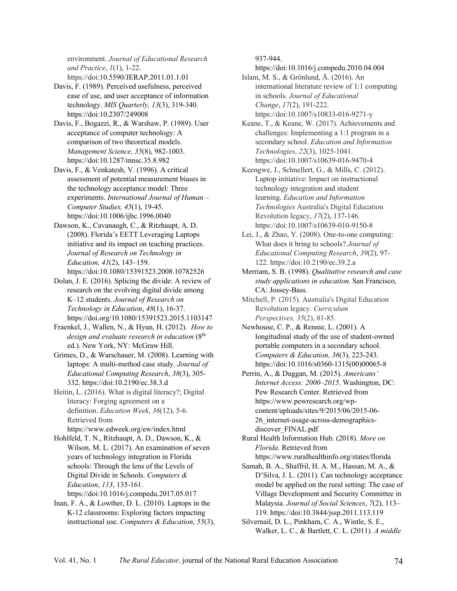environment. *Journal of Educational Research and Practice*, *1*(1), 1-22. https://doi:10.5590/JERAP.2011.01.1.01

Davis, F. (1989). Perceived usefulness, perceived ease of use, and user acceptance of information technology. *MIS Quarterly, 13*(3), 319-340. https://doi:10.2307/249008

Davis, F., Bogazzi, R., & Warshaw, P. (1989). User acceptance of computer technology: A comparison of two theoretical models. *Management Science, 35*(8), 982-1003. https://doi:10.1287/mnsc.35.8.982

Davis, F., & Venkatesh, V. (1996). A critical assessment of potential measurement biases in the technology acceptance model: Three experiments. *International Journal of Human – Computer Studies, 45*(1), 19-45. https://doi:10.1006/ijhc.1996.0040

Dawson, K., Cavanaugh, C., & Ritzhaupt, A. D. (2008). Florida's EETT Leveraging Laptops initiative and its impact on teaching practices. *Journal of Research on Technology in Education, 41*(2), 143–159. https://doi:10.1080/15391523.2008.10782526

Dolan, J. E. (2016). Splicing the divide: A review of research on the evolving digital divide among K–12 students. *Journal of Research on Technology in Education*, *48*(1), 16-37. https://doi.org/10.1080/15391523.2015.1103147

Fraenkel, J., Wallen, N., & Hyun, H. (2012). *How to design and evaluate research in education* (8th ed.). New York, NY: McGraw Hill.

Grimes, D., & Warschauer, M. (2008). Learning with laptops: A multi-method case study. *Journal of Educational Computing Research*, *38*(3), 305- 332. https://doi:10.2190/ec.38.3.d

Heitin, L. (2016). What is digital literacy?; Digital literacy: Forging agreement on a definition. *Education Week*, *36*(12), 5-6. Retrieved from https://www.edweek.org/ew/index.html

Hohlfeld, T. N., Ritzhaupt, A. D., Dawson, K., & Wilson, M. L. (2017). An examination of seven years of technology integration in Florida schools: Through the lens of the Levels of Digital Divide in Schools. *Computers & Education*, *113*, 135-161. https://doi:10.1016/j.compedu.2017.05.017

Inan, F. A., & Lowther, D. L. (2010). Laptops in the K-12 classrooms: Exploring factors impacting instructional use. *Computers & Education, 55*(3), 937-944.

https://doi:10.1016/j.compedu.2010.04.004

Islam, M. S., & Grönlund, Å. (2016). An international literature review of 1:1 computing in schools. *Journal of Educational Change*, *17*(2), 191-222. https://doi:10.1007/s10833-016-9271-y

Keane, T., & Keane, W. (2017). Achievements and challenges: Implementing a 1:1 program in a secondary school. *Education and Information Technologies*, *22*(3), 1025-1041. https://doi:10.1007/s10639-016-9470-4

Keengwe, J., Schnellert, G., & Mills, C. (2012). Laptop initiative: Impact on instructional technology integration and student learning. *Education and Information Technologies* Australia's Digital Education Revolution legacy, *17*(2), 137-146. https://doi:10.1007/s10639-010-9150-8

Lei, J., & Zhao, Y. (2008). One-to-one computing: What does it bring to schools? *Journal of Educational Computing Research*, *39*(2), 97- 122. https://doi:10.2190/ec.39.2.a

Merriam, S. B. (1998). *Qualitative research and case study applications in education.* San Francisco, CA: Jossey-Bass.

Mitchell, P. (2015). Australia's Digital Education Revolution legacy. *Curriculum Perspectives, 35*(2), 81-85.

Newhouse, C. P., & Rennie, L. (2001). A longitudinal study of the use of student-owned portable computers in a secondary school. *Computers & Education, 36*(3), 223-243. https://doi:10.1016/s0360-1315(00)00065-8

Perrin, A., & Duggan, M. (2015). *Americans' Internet Access: 2000–2015*. Washington, DC: Pew Research Center. Retrieved from https://www.pewresearch.org/wpcontent/uploads/sites/9/2015/06/2015-06- 26\_internet-usage-across-demographicsdiscover\_FINAL.pdf

Rural Health Information Hub. (2018). *More on Florida.* Retrieved from

https://www.ruralhealthinfo.org/states/florida Samah, B. A., Shaffril, H. A. M., Hassan, M. A., &

D'Silva, J. L. (2011). Can technology acceptance model be applied on the rural setting: The case of Village Development and Security Committee in Malaysia. *Journal of Social Sciences*, *7*(2), 113– 119. https://doi:10.3844/jssp.2011.113.119

Silvernail, D. L., Pinkham, C. A., Wintle, S. E., Walker, L. C., & Bartlett, C. L. (2011)*. A middle*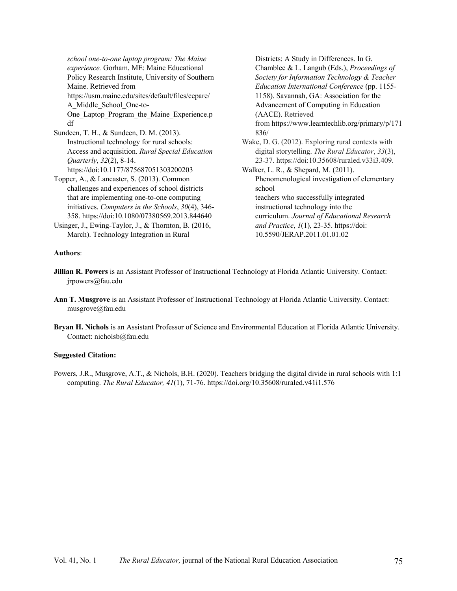*school one-to-one laptop program: The Maine experience.* Gorham, ME: Maine Educational Policy Research Institute, University of Southern Maine. Retrieved from https://usm.maine.edu/sites/default/files/cepare/ A\_Middle\_School\_One-to-One Laptop Program the Maine Experience.p df Sundeen, T. H., & Sundeen, D. M. (2013).

Instructional technology for rural schools: Access and acquisition. *Rural Special Education Quarterly*, *32*(2), 8-14. https://doi:10.1177/875687051303200203

Topper, A., & Lancaster, S. (2013). Common challenges and experiences of school districts that are implementing one-to-one computing initiatives. *Computers in the Schools*, *30*(4), 346- 358. https://doi:10.1080/07380569.2013.844640

Usinger, J., Ewing-Taylor, J., & Thornton, B. (2016, March). Technology Integration in Rural

**Authors**:

Districts: A Study in Differences. In G. Chamblee & L. Langub (Eds.), *Proceedings of Society for Information Technology & Teacher Education International Conference* (pp. 1155- 1158). Savannah, GA: Association for the Advancement of Computing in Education (AACE). Retrieved from https://www.learntechlib.org/primary/p/171 836/ Wake, D. G. (2012). Exploring rural contexts with digital storytelling. *The Rural Educator*, *33*(3), 23-37. https://doi:10.35608/ruraled.v33i3.409. Walker, L. R., & Shepard, M. (2011). Phenomenological investigation of elementary school teachers who successfully integrated instructional technology into the curriculum. *Journal of Educational Research and Practice*, *1*(1), 23-35. https://doi: 10.5590/JERAP.2011.01.01.02

- **Jillian R. Powers** is an Assistant Professor of Instructional Technology at Florida Atlantic University. Contact: jrpowers@fau.edu
- **Ann T. Musgrove** is an Assistant Professor of Instructional Technology at Florida Atlantic University. Contact: musgrove@fau.edu
- **Bryan H. Nichols** is an Assistant Professor of Science and Environmental Education at Florida Atlantic University. Contact: nicholsb@fau.edu

## **Suggested Citation:**

Powers, J.R., Musgrove, A.T., & Nichols, B.H. (2020). Teachers bridging the digital divide in rural schools with 1:1 computing. *The Rural Educator, 41*(1), 71-76. https://doi.org/10.35608/ruraled.v41i1.576